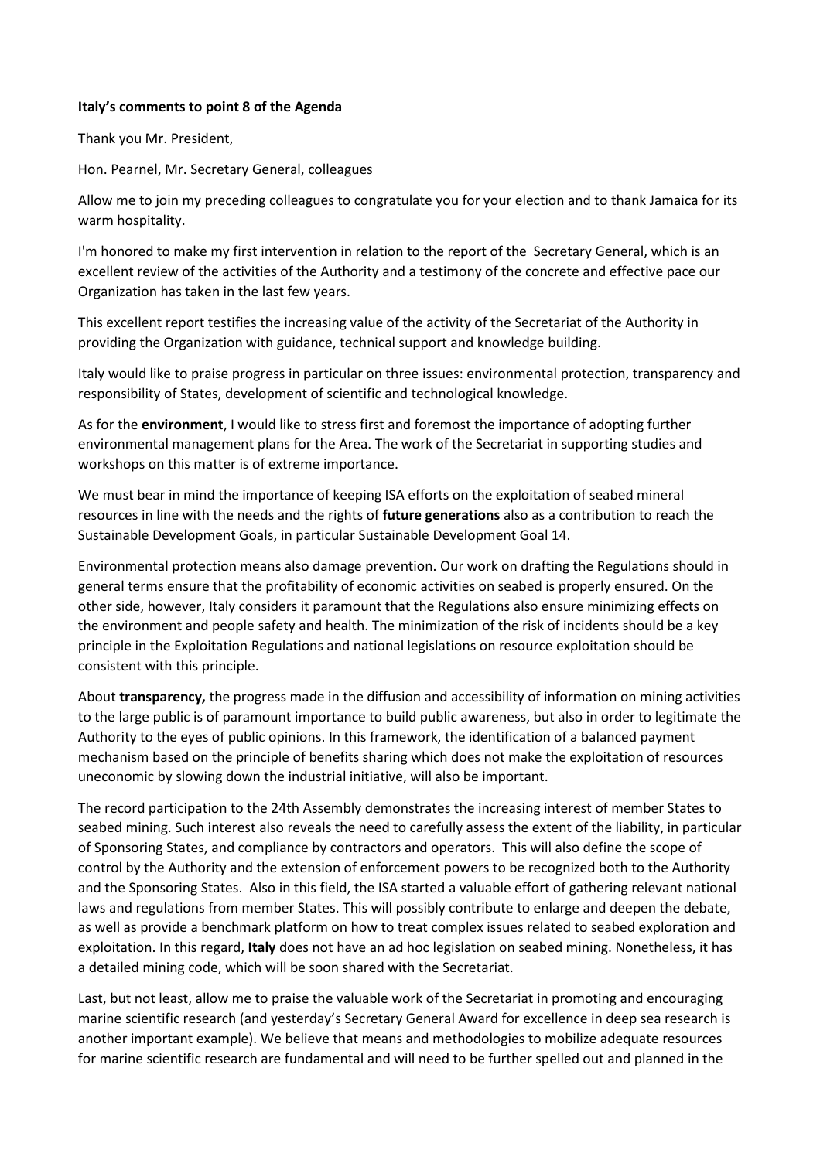## **Italy's comments to point 8 of the Agenda**

Thank you Mr. President,

Hon. Pearnel, Mr. Secretary General, colleagues

Allow me to join my preceding colleagues to congratulate you for your election and to thank Jamaica for its warm hospitality.

I'm honored to make my first intervention in relation to the report of the Secretary General, which is an excellent review of the activities of the Authority and a testimony of the concrete and effective pace our Organization has taken in the last few years.

This excellent report testifies the increasing value of the activity of the Secretariat of the Authority in providing the Organization with guidance, technical support and knowledge building.

Italy would like to praise progress in particular on three issues: environmental protection, transparency and responsibility of States, development of scientific and technological knowledge.

As for the **environment**, I would like to stress first and foremost the importance of adopting further environmental management plans for the Area. The work of the Secretariat in supporting studies and workshops on this matter is of extreme importance.

We must bear in mind the importance of keeping ISA efforts on the exploitation of seabed mineral resources in line with the needs and the rights of **future generations** also as a contribution to reach the Sustainable Development Goals, in particular Sustainable Development Goal 14.

Environmental protection means also damage prevention. Our work on drafting the Regulations should in general terms ensure that the profitability of economic activities on seabed is properly ensured. On the other side, however, Italy considers it paramount that the Regulations also ensure minimizing effects on the environment and people safety and health. The minimization of the risk of incidents should be a key principle in the Exploitation Regulations and national legislations on resource exploitation should be consistent with this principle.

About **transparency,** the progress made in the diffusion and accessibility of information on mining activities to the large public is of paramount importance to build public awareness, but also in order to legitimate the Authority to the eyes of public opinions. In this framework, the identification of a balanced payment mechanism based on the principle of benefits sharing which does not make the exploitation of resources uneconomic by slowing down the industrial initiative, will also be important.

The record participation to the 24th Assembly demonstrates the increasing interest of member States to seabed mining. Such interest also reveals the need to carefully assess the extent of the liability, in particular of Sponsoring States, and compliance by contractors and operators. This will also define the scope of control by the Authority and the extension of enforcement powers to be recognized both to the Authority and the Sponsoring States. Also in this field, the ISA started a valuable effort of gathering relevant national laws and regulations from member States. This will possibly contribute to enlarge and deepen the debate, as well as provide a benchmark platform on how to treat complex issues related to seabed exploration and exploitation. In this regard, **Italy** does not have an ad hoc legislation on seabed mining. Nonetheless, it has a detailed mining code, which will be soon shared with the Secretariat.

Last, but not least, allow me to praise the valuable work of the Secretariat in promoting and encouraging marine scientific research (and yesterday's Secretary General Award for excellence in deep sea research is another important example). We believe that means and methodologies to mobilize adequate resources for marine scientific research are fundamental and will need to be further spelled out and planned in the